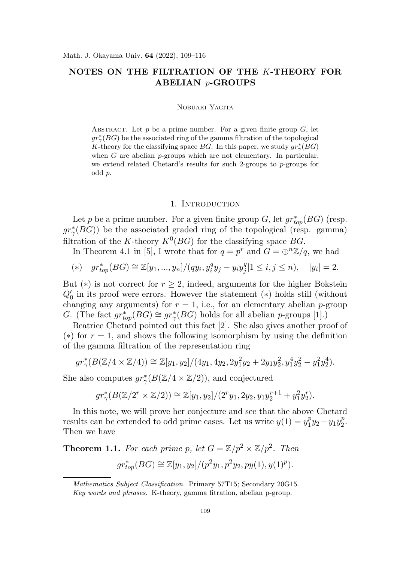# NOTES ON THE FILTRATION OF THE K-THEORY FOR ABELIAN p-GROUPS

### Nobuaki Yagita

ABSTRACT. Let  $p$  be a prime number. For a given finite group  $G$ , let  $gr^*_{\gamma}(BG)$  be the associated ring of the gamma filtration of the topological K-theory for the classifying space BG. In this paper, we study  $gr^*_{\gamma}(BG)$ when  $G$  are abelian p-groups which are not elementary. In particular, we extend related Chetard's results for such 2-groups to p-groups for odd p.

#### 1. INTRODUCTION

Let p be a prime number. For a given finite group  $G$ , let  $gr_{top}^{*}(BG)$  (resp.  $gr^*_{\gamma}(BG)$ ) be the associated graded ring of the topological (resp. gamma) filtration of the K-theory  $K^0(BG)$  for the classifying space BG.

In Theorem 4.1 in [5], I wrote that for  $q = p^r$  and  $G = \bigoplus^{n} \mathbb{Z}/q$ , we had

(\*) 
$$
gr_{top}^*(BG) \cong \mathbb{Z}[y_1, ..., y_n]/(qy_i, y_i^qy_j - y_iy_j^q|1 \le i, j \le n), |y_i| = 2.
$$

But (\*) is not correct for  $r \geq 2$ , indeed, arguments for the higher Bokstein  $Q'_0$  in its proof were errors. However the statement (\*) holds still (without changing any arguments) for  $r = 1$ , i.e., for an elementary abelian p-group G. (The fact  $gr_{top}^{*}(BG) \cong gr_{\gamma}^{*}(BG)$  holds for all abelian p-groups [1].)

Beatrice Chetard pointed out this fact [2]. She also gives another proof of (\*) for  $r = 1$ , and shows the following isomorphism by using the definition of the gamma filtration of the representation ring

$$
gr^*_{\gamma}(B(\mathbb{Z}/4 \times \mathbb{Z}/4)) \cong \mathbb{Z}[y_1, y_2]/(4y_1, 4y_2, 2y_1^2y_2 + 2y_1y_2^2, y_1^4y_2^2 - y_1^2y_2^4).
$$

She also computes  $gr^*_{\gamma}(B(\mathbb{Z}/4 \times \mathbb{Z}/2)),$  and conjectured

$$
gr^*_{\gamma}(B(\mathbb{Z}/2^r \times \mathbb{Z}/2)) \cong \mathbb{Z}[y_1, y_2]/(2^r y_1, 2y_2, y_1 y_2^{r+1} + y_1^2 y_2^r).
$$

In this note, we will prove her conjecture and see that the above Chetard results can be extended to odd prime cases. Let us write  $y(1) = y_1^p$  $_{1}^{p}y_{2}-y_{1}y_{2}^{p}$  $\frac{p}{2}$ . Then we have

**Theorem 1.1.** For each prime p, let  $G = \mathbb{Z}/p^2 \times \mathbb{Z}/p^2$ . Then

$$
gr_{top}^*(BG) \cong \mathbb{Z}[y_1, y_2]/(p^2y_1, p^2y_2, py(1), y(1)^p).
$$

Mathematics Subject Classification. Primary 57T15; Secondary 20G15. Key words and phrases. K-theory, gamma fitration, abelian p-group.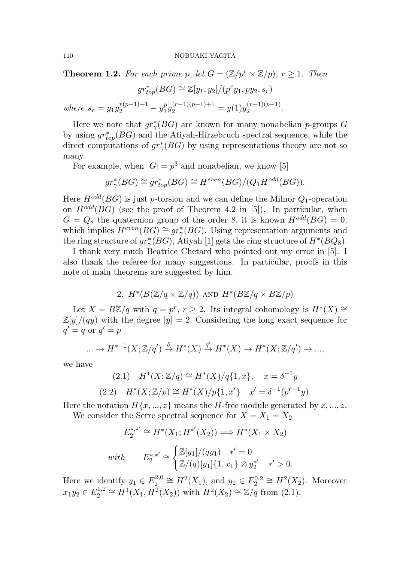**Theorem 1.2.** For each prime p, let  $G = (\mathbb{Z}/p^r \times \mathbb{Z}/p)$ ,  $r \geq 1$ . Then

$$
gr_{top}^*(BG) \cong \mathbb{Z}[y_1, y_2]/(p^r y_1, py_2, s_r)
$$

where  $s_r = y_1 y_2^{r(p-1)+1} - y_1^p$  $y_1^{(r-1)(p-1)+1} = y(1)y_2^{(r-1)(p-1)}$  $\frac{(r-1)(p-1)}{2}$ .

Here we note that  $gr^*_{\gamma}(BG)$  are known for many nonabelian *p*-groups G by using  $gr_{top}^{*}(BG)$  and the Atiyah-Hirzebruch spectral sequence, while the direct computations of  $gr^*_{\gamma}(BG)$  by using representations theory are not so many.

For example, when  $|G| = p^3$  and nonabelian, we know [5]

$$
gr^*_{\gamma}(BG) \cong gr^*_{top}(BG) \cong H^{even}(BG)/(Q_1H^{odd}(BG)).
$$

Here  $H^{odd}(BG)$  is just p-torsion and we can define the Milnor  $Q_1$ -operation on  $H^{odd}(BG)$  (see the proof of Theorem 4.2 in [5]). In particular, when  $G = Q_8$  the quaternion group of the order 8, it is known  $H^{odd}(BG) = 0$ , which implies  $H^{even}(BG) \cong gr^*_{\gamma}(BG)$ . Using representation arguments and the ring structure of  $gr^*_{\gamma}(BG)$ , Atiyah [1] gets the ring structure of  $H^*(BQ_8)$ .

I thank very much Beatrice Chetard who pointed out my error in [5]. I also thank the referee for many suggestions. In particular, proofs in this note of main theorems are suggested by him.

2. 
$$
H^*(B(\mathbb{Z}/q \times \mathbb{Z}/q))
$$
 and  $H^*(B\mathbb{Z}/q \times B\mathbb{Z}/p)$ 

Let  $X = B\mathbb{Z}/q$  with  $q = p^r, r \geq 2$ . Its integral cohomology is  $H^*(X) \cong$  $\mathbb{Z}[y]/(qy)$  with the degree  $|y|=2$ . Considering the long exact sequence for  $q' = q$  or  $q' = p$ 

$$
\dots \to H^{*-1}(X; \mathbb{Z}/q') \xrightarrow{\delta} H^*(X) \xrightarrow{q'} H^*(X) \to H^*(X; \mathbb{Z}/q') \to \dots,
$$

we have

(2.1) 
$$
H^*(X; \mathbb{Z}/q) \cong H^*(X)/q\{1, x\}, \quad x = \delta^{-1}y
$$
  
(2.2)  $H^*(X; \mathbb{Z}/p) \cong H^*(X)/p\{1, x'\} \quad x' = \delta^{-1}(p^{r-1}y).$ 

Here the notation  $H\{x, ..., z\}$  means the H-free module generated by  $x, ..., z$ .

We consider the Serre spectral sequence for 
$$
X = X_1 = X_2
$$

$$
E_2^{*,*'} \cong H^*(X_1; H^{*,'}(X_2)) \Longrightarrow H^*(X_1 \times X_2)
$$
  
with 
$$
E_2^{*,*'} \cong \begin{cases} \mathbb{Z}[y_1]/(qy_1) & *' = 0\\ \mathbb{Z}/(q)[y_1]\{1, x_1\} \otimes y_2^{*,*'} & *' > 0. \end{cases}
$$

Here we identify  $y_1 \in E_2^{2,0}$  $2^{2,0} \cong H^2(X_1)$ , and  $y_2 \in E_2^{0,2} \cong H^2(X_2)$ . Moreover  $x_1y_2 \in E_2^{1,2}$  $u_2^{1,2} \cong H^1(X_1, H^2(X_2))$  with  $H^2(X_2) \cong \mathbb{Z}/q$  from (2.1).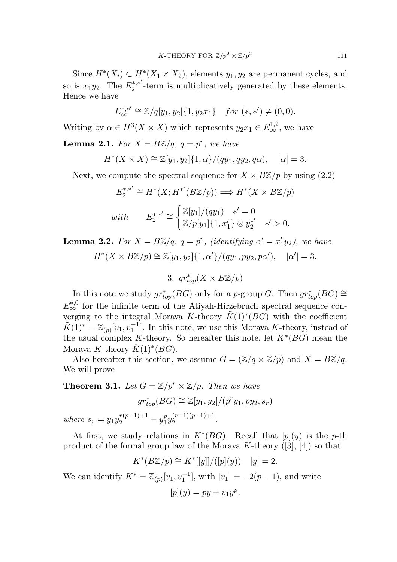Since  $H^*(X_i) \subset H^*(X_1 \times X_2)$ , elements  $y_1, y_2$  are permanent cycles, and so is  $x_1y_2$ . The  $E_2^{*,*'}$  $2^{*,*}$  -term is multiplicatively generated by these elements. Hence we have

$$
E_{\infty}^{*,*'} \cong \mathbb{Z}/q[y_1, y_2]\{1, y_2x_1\} \quad for \ (*,*') \neq (0,0).
$$

Writing by  $\alpha \in H^3(X \times X)$  which represents  $y_2x_1 \in E^{1,2}_{\infty}$ , we have

**Lemma 2.1.** For  $X = B\mathbb{Z}/q$ ,  $q = p^r$ , we have

$$
H^*(X \times X) \cong \mathbb{Z}[y_1, y_2]\{1, \alpha\}/(q y_1, q y_2, q \alpha), \quad |\alpha| = 3.
$$

Next, we compute the spectral sequence for  $X \times B\mathbb{Z}/p$  by using (2.2)

$$
E_2^{*,*'} \cong H^*(X; H^{*,'}(B\mathbb{Z}/p)) \Longrightarrow H^*(X \times B\mathbb{Z}/p)
$$
  
with 
$$
E_2^{*,*'} \cong \begin{cases} \mathbb{Z}[y_1]/(qy_1) & *'=0\\ \mathbb{Z}/p[y_1]\{1, x_1'\} \otimes y_2^{*,*'} & *'>0. \end{cases}
$$

**Lemma 2.2.** For  $X = B\mathbb{Z}/q$ ,  $q = p^r$ , (identifying  $\alpha' = x_1'$ )  $(y_2)$ , we have  $H^*(X \times B\mathbb{Z}/p) \cong \mathbb{Z}[y_1, y_2]\{1, \alpha'\}/(q y_1, p y_2, p \alpha'), \quad |\alpha'| = 3.$ 

3.  $gr_{top}^*(X \times B\mathbb{Z}/p)$ 

In this note we study  $gr_{top}^*(BG)$  only for a p-group G. Then  $gr_{top}^*(BG) \cong$  $E_{\infty}^{*,0}$  for the infinite term of the Atiyah-Hirzebruch spectral sequence converging to the integral Morava K-theory  $\tilde{K}(1)^*(BG)$  with the coefficient  $\tilde{K}(1)^* = \mathbb{Z}_{(p)}[v_1, v_1^{-1}]$ . In this note, we use this Morava K-theory, instead of the usual complex K-theory. So hereafter this note, let  $K^*(BG)$  mean the Morava K-theory  $\tilde{K}(1)^{*}(BG)$ .

Also hereafter this section, we assume  $G = (\mathbb{Z}/q \times \mathbb{Z}/p)$  and  $X = B\mathbb{Z}/q$ . We will prove

**Theorem 3.1.** Let  $G = \mathbb{Z}/p^r \times \mathbb{Z}/p$ . Then we have

$$
gr_{top}^*(BG) \cong \mathbb{Z}[y_1, y_2]/(p^r y_1, py_2, s_r)
$$

where  $s_r = y_1 y_2^{r(p-1)+1} - y_1^p$  $\frac{p}{1}y_2^{(r-1)(p-1)+1}$  $2^{(7-1)(p-1)+1}$ .

At first, we study relations in  $K^*(BG)$ . Recall that  $[p](y)$  is the p-th product of the formal group law of the Morava K-theory  $([3], [4])$  so that

$$
K^*(B\mathbb{Z}/p) \cong K^*[[y]]/([p](y)) \quad |y| = 2.
$$

We can identify  $K^* = \mathbb{Z}_{(p)}[v_1, v_1^{-1}]$ , with  $|v_1| = -2(p-1)$ , and write

$$
[p](y) = py + v_1y^p.
$$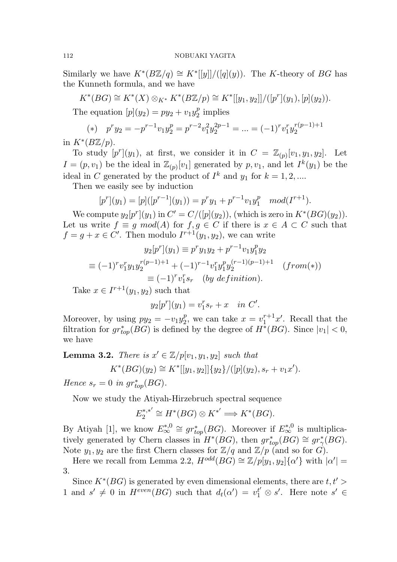## 112 NOBUAKI YAGITA

Similarly we have  $K^*(B\mathbb{Z}/q) \cong K^*[[y]]/([q](y))$ . The K-theory of BG has the Kunneth formula, and we have

 $K^*(BG) \cong K^*(X) \otimes_{K^*} K^*(B\mathbb{Z}/p) \cong K^*[[y_1, y_2]]/([p^r](y_1), [p](y_2)).$ 

The equation  $[p](y_2) = py_2 + v_1y_2^p$  $_2^p$  implies

(\*) 
$$
p^r y_2 = -p^{r-1} v_1 y_2^p = p^{r-2} v_1^2 y_2^{2p-1} = \dots = (-1)^r v_1^r y_2^{r(p-1)+1}
$$

in  $K^*(B\mathbb{Z}/p)$ .

To study  $[p^r](y_1)$ , at first, we consider it in  $C = \mathbb{Z}_{(p)}[v_1, y_1, y_2]$ . Let  $I = (p, v_1)$  be the ideal in  $\mathbb{Z}_{(p)}[v_1]$  generated by  $p, v_1$ , and let  $I^k(y_1)$  be the ideal in C generated by the product of  $I^k$  and  $y_1$  for  $k = 1, 2, ...$ 

Then we easily see by induction

$$
[p^r](y_1) = [p]([p^{r-1}](y_1)) = p^r y_1 + p^{r-1} v_1 y_1^p \mod (I^{r+1}).
$$

We compute  $y_2[p^r](y_1)$  in  $C' = C/([p](y_2))$ , (which is zero in  $K^*(BG)(y_2)$ ). Let us write  $f \equiv g \mod(A)$  for  $f, g \in C$  if there is  $x \in A \subset C$  such that  $f = g + x \in C'$ . Then modulo  $I^{r+1}(y_1, y_2)$ , we can write

$$
y_2[p^r](y_1) \equiv p^r y_1 y_2 + p^{r-1} v_1 y_1^p y_2
$$
  
\n
$$
\equiv (-1)^r v_1^r y_1 y_2^{r(p-1)+1} + (-1)^{r-1} v_1^r y_1^p y_2^{(r-1)(p-1)+1} \quad (from(*))
$$
  
\n
$$
\equiv (-1)^r v_1^r s_r \quad (by \ definition).
$$

Take  $x \in I^{r+1}(y_1, y_2)$  such that

$$
y_2[p^r](y_1) = v_1^r s_r + x
$$
 in C'.

Moreover, by using  $py_2 = -v_1y_2^p$  $v_2^p$ , we can take  $x = v_1^{r+1}$  $i_1^{r+1}x'$ . Recall that the filtration for  $gr_{top}^{*}(BG)$  is defined by the degree of  $H^{*}(BG)$ . Since  $|v_1| < 0$ , we have

**Lemma 3.2.** There is  $x' \in \mathbb{Z}/p[v_1, y_1, y_2]$  such that

$$
K^*(BG)(y_2) \cong K^*[[y_1, y_2]]\{y_2\}/([p](y_2), s_r + v_1x').
$$

Hence  $s_r = 0$  in  $gr_{top}^*(BG)$ .

Now we study the Atiyah-Hirzebruch spectral sequence

$$
E_2^{*,*'} \cong H^*(BG) \otimes K^{*'} \Longrightarrow K^*(BG).
$$

By Atiyah [1], we know  $E_{\infty}^{*,0} \cong gr_{top}^{*}(BG)$ . Moreover if  $E_{\infty}^{*,0}$  is multiplicatively generated by Chern classes in  $H^*(BG)$ , then  $gr_{top}^*(BG) \cong gr_{\gamma}^*(BG)$ . Note  $y_1, y_2$  are the first Chern classes for  $\mathbb{Z}/q$  and  $\mathbb{Z}/p$  (and so for  $G$ ).

Here we recall from Lemma 2.2,  $H^{odd}(BG) \cong \mathbb{Z}/p[y_1, y_2]\{\alpha'\}$  with  $|\alpha'| =$ 3.

Since  $K^*(BG)$  is generated by even dimensional elements, there are  $t, t' >$ 1 and  $s' \neq 0$  in  $H^{even}(BG)$  such that  $d_t(\alpha') = v_1^{t'} \otimes s'$ . Here note  $s' \in$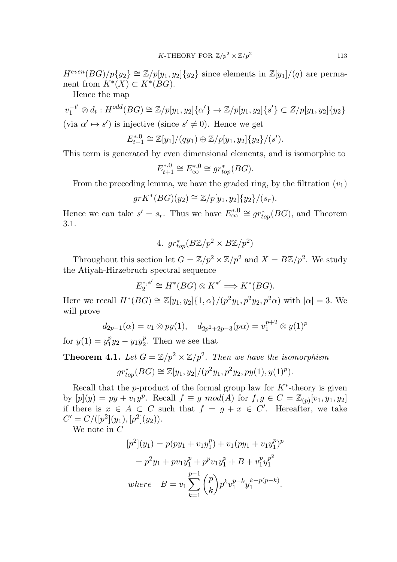$H^{even}(BG)/p{y_2} \cong \mathbb{Z}/p[y_1,y_2]{y_2}$  since elements in  $\mathbb{Z}[y_1]/(q)$  are permanent from  $K^*(X) \subset K^*(BG)$ .

Hence the map

 $v_1^{-t'} \otimes d_t : H^{odd}(BG) \cong \mathbb{Z}/p[y_1, y_2] \{ \alpha' \} \rightarrow \mathbb{Z}/p[y_1, y_2] \{ s' \} \subset \mathbb{Z}/p[y_1, y_2] \{ y_2 \}$ (via  $\alpha' \mapsto s'$ ) is injective (since  $s' \neq 0$ ). Hence we get

$$
E_{t+1}^{*,0} \cong \mathbb{Z}[y_1]/(qy_1) \oplus \mathbb{Z}/p[y_1,y_2]\{y_2\}/(s').
$$

This term is generated by even dimensional elements, and is isomorphic to

$$
E_{t+1}^{*,0} \cong E_{\infty}^{*,0} \cong gr_{top}^*(BG).
$$

From the preceding lemma, we have the graded ring, by the filtration  $(v_1)$ 

$$
gr K^*(BG)(y_2) \cong \mathbb{Z}/p[y_1, y_2]\{y_2\}/(s_r).
$$

Hence we can take  $s' = s_r$ . Thus we have  $E_{\infty}^{*,0} \cong gr_{top}^{*}(BG)$ , and Theorem 3.1.

4. 
$$
gr_{top}^*(B\mathbb{Z}/p^2 \times B\mathbb{Z}/p^2)
$$

Throughout this section let  $G = \mathbb{Z}/p^2 \times \mathbb{Z}/p^2$  and  $X = B\mathbb{Z}/p^2$ . We study the Atiyah-Hirzebruch spectral sequence

$$
E_2^{*,*'} \cong H^*(BG) \otimes K^{*'} \Longrightarrow K^*(BG).
$$

Here we recall  $H^*(BG) \cong \mathbb{Z}[y_1, y_2]\{1, \alpha\}/(p^2y_1, p^2y_2, p^2\alpha)$  with  $|\alpha| = 3$ . We will prove

$$
d_{2p-1}(\alpha) = v_1 \otimes py(1), \quad d_{2p^2+2p-3}(p\alpha) = v_1^{p+2} \otimes y(1)^p
$$

for  $y(1) = y_1^p$  $y_1^p y_2 - y_1 y_2^p$  $_2^p$ . Then we see that

**Theorem 4.1.** Let  $G = \mathbb{Z}/p^2 \times \mathbb{Z}/p^2$ . Then we have the isomorphism

$$
gr_{top}^*(BG) \cong \mathbb{Z}[y_1, y_2]/(p^2y_1, p^2y_2, py(1), y(1)^p).
$$

Recall that the p-product of the formal group law for  $K^*$ -theory is given by  $[p](y) = py + v_1y^p$ . Recall  $f \equiv g \mod(A)$  for  $f, g \in C = \mathbb{Z}_{(p)}[v_1, y_1, y_2]$ if there is  $x \in A \subset C$  such that  $f = g + x \in C'$ . Hereafter, we take  $C' = C/([p^2](y_1), [p^2](y_2)).$ 

We note in C

$$
[p^{2}](y_{1}) = p(py_{1} + v_{1}y_{1}^{p}) + v_{1}(py_{1} + v_{1}y_{1}^{p})^{p}
$$
  
=  $p^{2}y_{1} + pv_{1}y_{1}^{p} + p^{p}v_{1}y_{1}^{p} + B + v_{1}^{p}y_{1}^{p^{2}}$   
where  $B = v_{1} \sum_{k=1}^{p-1} {p \choose k} p^{k}v_{1}^{p-k}y_{1}^{k+p(p-k)}$ .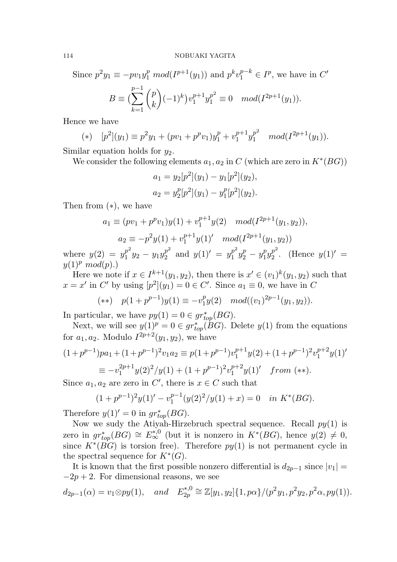Since 
$$
p^2 y_1 \equiv -pv_1 y_1^p \mod(I^{p+1}(y_1))
$$
 and  $p^k v_1^{p-k} \in I^p$ , we have in C'  
\n
$$
B \equiv \left(\sum_{k=1}^{p-1} {p \choose k} (-1)^k\right) v_1^{p+1} y_1^{p^2} \equiv 0 \mod(I^{2p+1}(y_1)).
$$

Hence we have

(\*) 
$$
[p^2](y_1) \equiv p^2y_1 + (pv_1 + p^pv_1)y_1^p + v_1^{p+1}y_1^{p^2} \mod (I^{2p+1}(y_1)).
$$

Similar equation holds for  $y_2$ .

We consider the following elements  $a_1, a_2$  in C (which are zero in  $K^*(BG)$ )

$$
a_1 = y_2[p^2](y_1) - y_1[p^2](y_2),
$$
  

$$
a_2 = y_2^p[p^2](y_1) - y_1^p[p^2](y_2).
$$

Then from (∗), we have

$$
a_1 \equiv (pv_1 + p^p v_1) y(1) + v_1^{p+1} y(2) \mod (I^{2p+1}(y_1, y_2)),
$$
  
\n
$$
a_2 \equiv -p^2 y(1) + v_1^{p+1} y(1)' \mod (I^{2p+1}(y_1, y_2))
$$

where  $y(2) = y_1^{p^2}$  $\frac{p^2}{1}y_2 - y_1y_2^{p^2}$  $y_2^{p^2}$  and  $y(1)' = y_1^{p^2}$  $\frac{p^2}{1}y_2^p-y_1^p$  $\frac{p}{1}y_2^{p^2}$  $y_2^{p^2}$ . (Hence  $y(1)' =$  $y(1)^p \mod(p)$ .

Here we note if  $x \in I^{k+1}(y_1, y_2)$ , then there is  $x' \in (v_1)^k(y_1, y_2)$  such that  $x = x'$  in C' by using  $[p^2](y_1) = 0 \in C'$ . Since  $a_1 \equiv 0$ , we have in C

$$
(**) \quad p(1 + p^{p-1})y(1) \equiv -v_1^p y(2) \quad mod((v_1)^{2p-1}(y_1, y_2)).
$$

In particular, we have  $py(1) = 0 \in gr_{top}^*(BG)$ .

Next, we will see  $y(1)^p = 0 \in gr_{top}^*(BG)$ . Delete  $y(1)$  from the equations for  $a_1, a_2$ . Modulo  $I^{2p+2}(y_1, y_2)$ , we have

$$
(1+p^{p-1})pa_1 + (1+p^{p-1})^2v_1a_2 \equiv p(1+p^{p-1})v_1^{p+1}y(2) + (1+p^{p-1})^2v_1^{p+2}y(1)'
$$
  

$$
\equiv -v_1^{2p+1}y(2)^2/y(1) + (1+p^{p-1})^2v_1^{p+2}y(1)'
$$
 from (\*\*).

Since  $a_1, a_2$  are zero in C', there is  $x \in C$  such that

$$
(1+p^{p-1})^2y(1)' - v_1^{p-1}(y(2)^2/y(1) + x) = 0 \quad in \ K^*(BG).
$$

Therefore  $y(1)' = 0$  in  $gr_{top}^{*}(BG)$ .

Now we sudy the Atiyah-Hirzebruch spectral sequence. Recall  $py(1)$  is zero in  $gr_{top}^*(BG) \cong E_{\infty}^{*,0}$  (but it is nonzero in  $K^*(BG)$ , hence  $y(2) \neq 0$ , since  $K^*(BG)$  is torsion free). Therefore  $py(1)$  is not permanent cycle in the spectral sequence for  $K^*(G)$ .

It is known that the first possible nonzero differential is  $d_{2p-1}$  since  $|v_1| =$  $-2p + 2$ . For dimensional reasons, we see

$$
d_{2p-1}(\alpha) = v_1 \otimes py(1), \quad and \quad E_{2p}^{*,0} \cong \mathbb{Z}[y_1, y_2] \{1, p\alpha\} / (p^2 y_1, p^2 y_2, p^2 \alpha, py(1)).
$$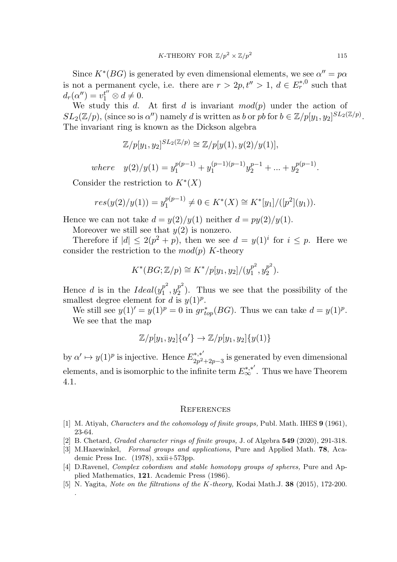Since  $K^*(BG)$  is generated by even dimensional elements, we see  $\alpha'' = p\alpha$ is not a permanent cycle, i.e. there are  $r > 2p, t'' > 1, d \in E_r^{*,0}$  such that  $d_r(\alpha'') = v_1^{t''} \otimes d \neq 0.$ 

We study this d. At first d is invariant  $mod(p)$  under the action of  $SL_2(\mathbb{Z}/p)$ , (since so is  $\alpha'$ ) namely d is written as b or pb for  $b \in \mathbb{Z}/p[y_1, y_2]^{SL_2(\mathbb{Z}/p)}$ . The invariant ring is known as the Dickson algebra

$$
\mathbb{Z}/p[y_1,y_2]^{SL_2(\mathbb{Z}/p)} \cong \mathbb{Z}/p[y(1),y(2)/y(1)],
$$

where  $y(2)/y(1) = y_1^{p(p-1)} + y_1^{(p-1)(p-1)}$  $y_2^{(p-1)(p-1)}y_2^{p-1} + \ldots + y_2^{p(p-1)}$  $2^{p(p-1)}$ .

Consider the restriction to  $K^*(X)$ 

.

$$
res(y(2)/y(1)) = y_1^{p(p-1)} \neq 0 \in K^*(X) \cong K^*[y_1]/([p^2](y_1)).
$$

Hence we can not take  $d = y(2)/y(1)$  neither  $d = py(2)/y(1)$ .

Moreover we still see that  $y(2)$  is nonzero.

Therefore if  $|d| \leq 2(p^2 + p)$ , then we see  $d = y(1)^i$  for  $i \leq p$ . Here we consider the restriction to the  $mod(p)$  K-theory

$$
K^*(BG; \mathbb{Z}/p) \cong K^*/p[y_1, y_2]/(y_1^{p^2}, y_2^{p^2}).
$$

Hence d is in the  $Ideal(y_1^{p^2})$  $p^2, y_2^{p^2}$  $2^{p}$ . Thus we see that the possibility of the smallest degree element for d is  $y(1)^p$ .

We still see  $y(1)' = y(1)^p = 0$  in  $gr_{top}^*(BG)$ . Thus we can take  $d = y(1)^p$ . We see that the map

$$
\mathbb{Z}/p[y_1,y_2]\{\alpha'\} \rightarrow \mathbb{Z}/p[y_1,y_2]\{y(1)\}
$$

by  $\alpha' \mapsto y(1)^p$  is injective. Hence  $E_{2n^2}^{*,*'}$  $2p^2+2p-3$  is generated by even dimensional elements, and is isomorphic to the infinite term  $E_{\infty}^{*,*'}$ . Thus we have Theorem 4.1.

### **REFERENCES**

- [1] M. Atiyah, Characters and the cohomology of finite groups, Publ. Math. IHES 9 (1961), 23-64.
- [2] B. Chetard, Graded character rings of finite groups, J. of Algebra 549 (2020), 291-318.
- [3] M.Hazewinkel, Formal groups and applications, Pure and Applied Math. **78**, Academic Press Inc. (1978), xxii+573pp.
- [4] D.Ravenel, Complex cobordism and stable homotopy groups of spheres, Pure and Applied Mathematics, 121. Academic Press (1986).
- [5] N. Yagita, *Note on the filtrations of the K-theory*, Kodai Math.J. **38** (2015), 172-200.